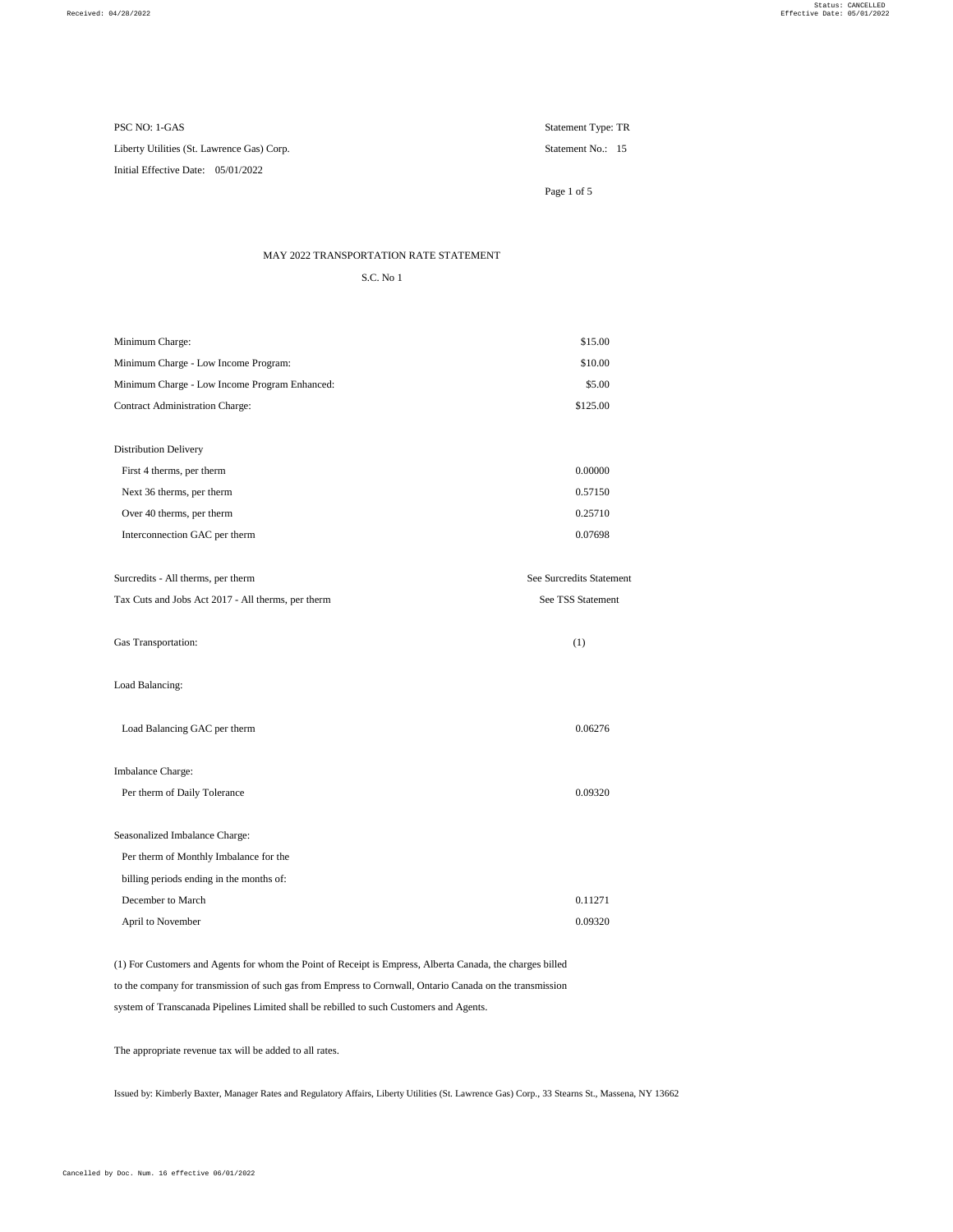Initial Effective Date: 05/01/2022

PSC NO: 1-GAS Statement Type: TR

Page 1 of 5

## MAY 2022 TRANSPORTATION RATE STATEMENT

S.C. No 1

| <b>Seasonalized Imbalance Charge:</b>    |         |
|------------------------------------------|---------|
| Per therm of Monthly Imbalance for the   |         |
| billing periods ending in the months of: |         |
| December to March                        | 0.11271 |
| April to November                        | 0.09320 |

| Minimum Charge:                                    | \$15.00                  |
|----------------------------------------------------|--------------------------|
| Minimum Charge - Low Income Program:               | \$10.00                  |
| Minimum Charge - Low Income Program Enhanced:      | \$5.00                   |
| <b>Contract Administration Charge:</b>             | \$125.00                 |
|                                                    |                          |
| <b>Distribution Delivery</b>                       |                          |
| First 4 therms, per therm                          | 0.00000                  |
| Next 36 therms, per therm                          | 0.57150                  |
| Over 40 therms, per therm                          | 0.25710                  |
| Interconnection GAC per therm                      | 0.07698                  |
|                                                    |                          |
| Surcredits - All therms, per therm                 | See Surcredits Statement |
| Tax Cuts and Jobs Act 2017 - All therms, per therm | See TSS Statement        |
| Gas Transportation:                                | (1)                      |
| Load Balancing:                                    |                          |
| Load Balancing GAC per therm                       | 0.06276                  |

Per therm of Daily Tolerance 0.09320

(1) For Customers and Agents for whom the Point of Receipt is Empress, Alberta Canada, the charges billed to the company for transmission of such gas from Empress to Cornwall, Ontario Canada on the transmission system of Transcanada Pipelines Limited shall be rebilled to such Customers and Agents.

The appropriate revenue tax will be added to all rates.

Issued by: Kimberly Baxter, Manager Rates and Regulatory Affairs, Liberty Utilities (St. Lawrence Gas) Corp., 33 Stearns St., Massena, NY 13662

Liberty Utilities (St. Lawrence Gas) Corp. Statement No.: 15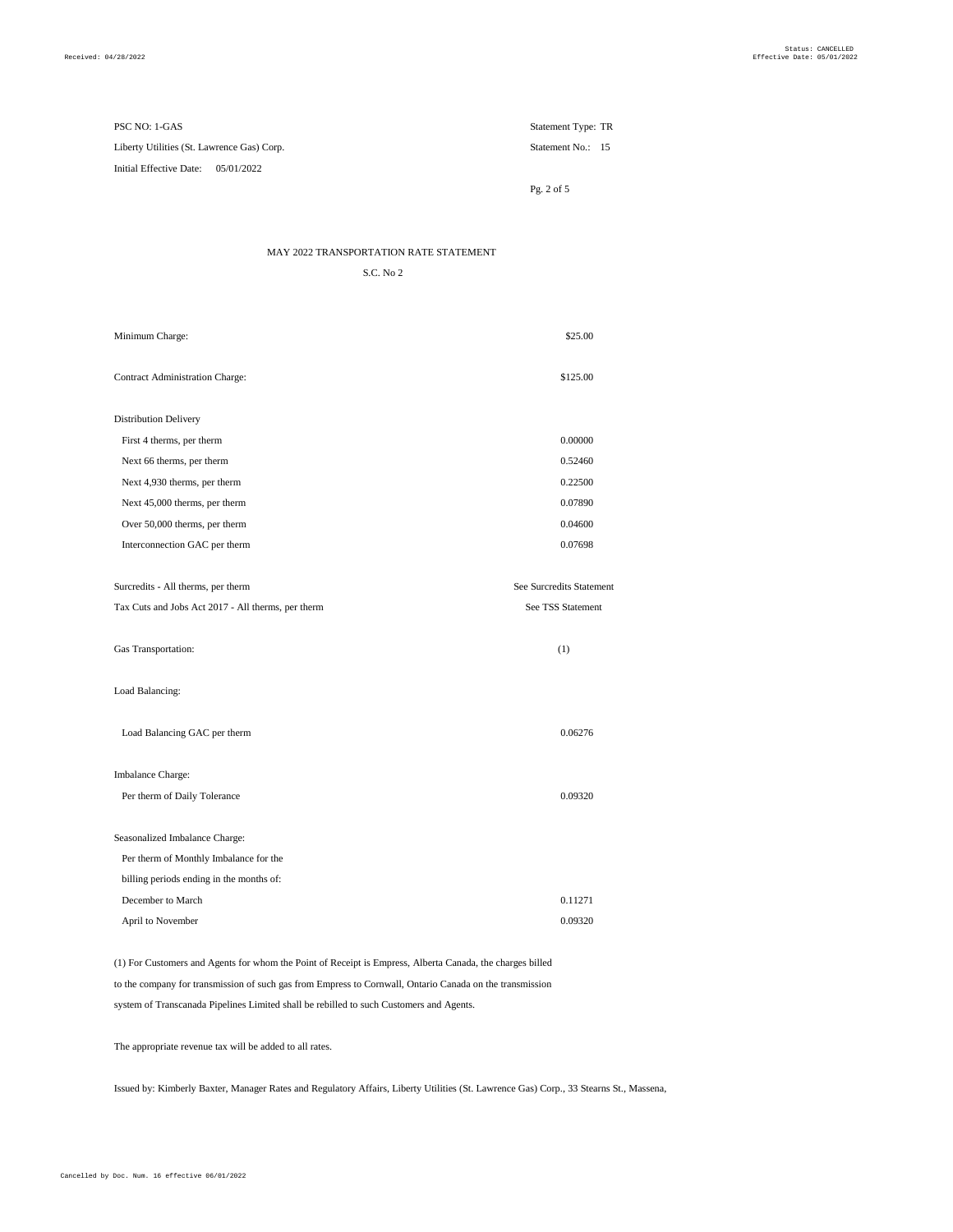| PSC NO: 1-GAS                              | Statement Type: TR |  |
|--------------------------------------------|--------------------|--|
| Liberty Utilities (St. Lawrence Gas) Corp. | Statement No.: 15  |  |
| Initial Effective Date: $05/01/2022$       |                    |  |

Pg. 2 of 5

MAY 2022 TRANSPORTATION RATE STATEMENT

S.C. No 2

| Minimum Charge:                                    | \$25.00                  |
|----------------------------------------------------|--------------------------|
| <b>Contract Administration Charge:</b>             | \$125.00                 |
| <b>Distribution Delivery</b>                       |                          |
| First 4 therms, per therm                          | 0.00000                  |
| Next 66 therms, per therm                          | 0.52460                  |
| Next 4,930 therms, per therm                       | 0.22500                  |
| Next 45,000 therms, per therm                      | 0.07890                  |
| Over 50,000 therms, per therm                      | 0.04600                  |
| Interconnection GAC per therm                      | 0.07698                  |
| Surcredits - All therms, per therm                 | See Surcredits Statement |
| Tax Cuts and Jobs Act 2017 - All therms, per therm | See TSS Statement        |
| Gas Transportation:                                | (1)                      |
| Load Balancing:                                    |                          |

Imbalance Charge:

| Per therm of Daily Tolerance             | 0.09320 |
|------------------------------------------|---------|
|                                          |         |
| <b>Seasonalized Imbalance Charge:</b>    |         |
| Per therm of Monthly Imbalance for the   |         |
| billing periods ending in the months of: |         |
| December to March                        | 0.11271 |
| April to November                        | 0.09320 |

(1) For Customers and Agents for whom the Point of Receipt is Empress, Alberta Canada, the charges billed to the company for transmission of such gas from Empress to Cornwall, Ontario Canada on the transmission system of Transcanada Pipelines Limited shall be rebilled to such Customers and Agents.

The appropriate revenue tax will be added to all rates.

Issued by: Kimberly Baxter, Manager Rates and Regulatory Affairs, Liberty Utilities (St. Lawrence Gas) Corp., 33 Stearns St., Massena,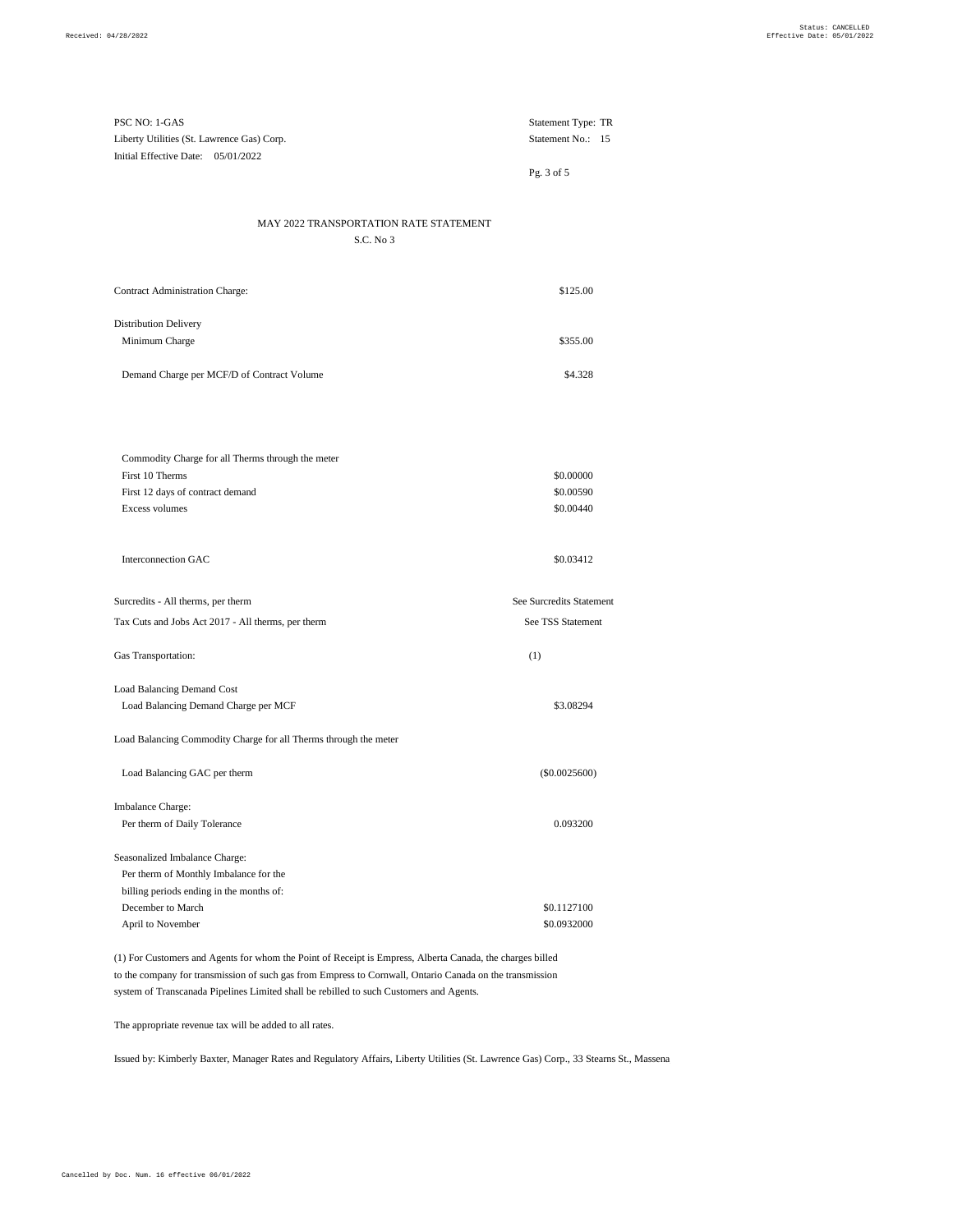| PSC NO: 1-GAS                              | <b>Statement Type: TR</b> |  |
|--------------------------------------------|---------------------------|--|
| Liberty Utilities (St. Lawrence Gas) Corp. | Statement No.: 15         |  |
| Initial Effective Date: $05/01/2022$       |                           |  |

Pg. 3 of 5

## MAY 2022 TRANSPORTATION RATE STATEMENT

S.C. No 3

| <b>Contract Administration Charge:</b>         | \$125.00 |
|------------------------------------------------|----------|
| <b>Distribution Delivery</b><br>Minimum Charge | \$355.00 |
| Demand Charge per MCF/D of Contract Volume     | \$4.328  |

| Commodity Charge for all Therms through the meter |           |
|---------------------------------------------------|-----------|
| First 10 Therms                                   | \$0.00000 |
| First 12 days of contract demand                  | \$0.00590 |
| Excess volumes                                    | \$0.00440 |

Interconnection GAC  $$0.03412$ Surcredits - All therms, per therm See Surcredits Statement Tax Cuts and Jobs Act 2017 - All therms, per therm See TSS Statement Gas Transportation: (1) Load Balancing Demand Cost Load Balancing Demand Charge per MCF \$3.08294

Load Balancing Commodity Charge for all Therms through the meter

| Load Balancing GAC per therm             | $(\$0.0025600)$ |
|------------------------------------------|-----------------|
| <b>Imbalance Charge:</b>                 |                 |
| Per therm of Daily Tolerance             | 0.093200        |
| Seasonalized Imbalance Charge:           |                 |
| Per therm of Monthly Imbalance for the   |                 |
| billing periods ending in the months of: |                 |
| December to March                        | \$0.1127100     |
| April to November                        | \$0.0932000     |

(1) For Customers and Agents for whom the Point of Receipt is Empress, Alberta Canada, the charges billed to the company for transmission of such gas from Empress to Cornwall, Ontario Canada on the transmission system of Transcanada Pipelines Limited shall be rebilled to such Customers and Agents.

The appropriate revenue tax will be added to all rates.

Issued by: Kimberly Baxter, Manager Rates and Regulatory Affairs, Liberty Utilities (St. Lawrence Gas) Corp., 33 Stearns St., Massena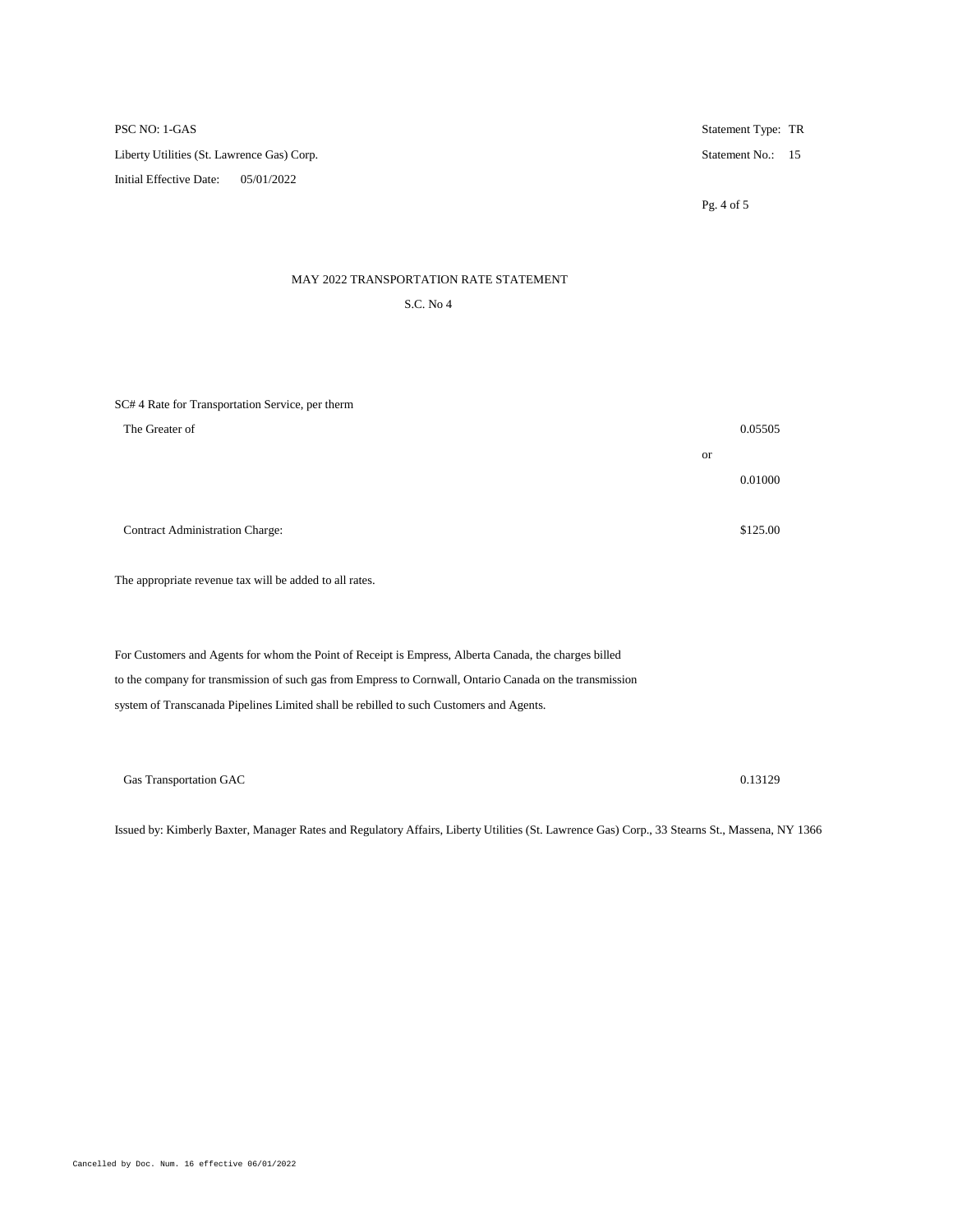PSC NO: 1-GAS Statement Type: TR Liberty Utilities (St. Lawrence Gas) Corp. Statement No.: 15 Initial Effective Date: 05/01/2022 Pg. 4 of 5

## MAY 2022 TRANSPORTATION RATE STATEMENT

S.C. No 4

SC# 4 Rate for Transportation Service, per therm

| The Greater of                         |           | 0.05505  |
|----------------------------------------|-----------|----------|
|                                        | <b>or</b> |          |
|                                        |           | 0.01000  |
|                                        |           |          |
| <b>Contract Administration Charge:</b> |           | \$125.00 |

The appropriate revenue tax will be added to all rates.

For Customers and Agents for whom the Point of Receipt is Empress, Alberta Canada, the charges billed to the company for transmission of such gas from Empress to Cornwall, Ontario Canada on the transmission system of Transcanada Pipelines Limited shall be rebilled to such Customers and Agents.

Gas Transportation GAC 0.13129

Issued by: Kimberly Baxter, Manager Rates and Regulatory Affairs, Liberty Utilities (St. Lawrence Gas) Corp., 33 Stearns St., Massena, NY 13662